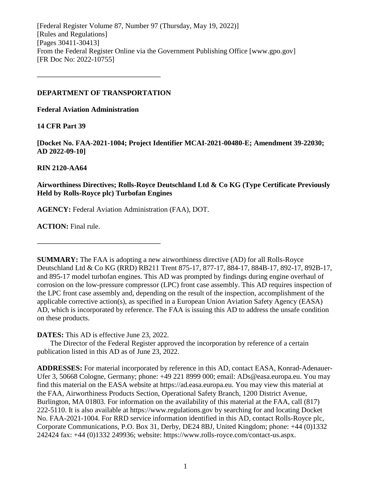[Federal Register Volume 87, Number 97 (Thursday, May 19, 2022)] [Rules and Regulations] [Pages 30411-30413] From the Federal Register Online via the Government Publishing Office [www.gpo.gov] [FR Doc No: 2022-10755]

### **DEPARTMENT OF TRANSPORTATION**

**––––––––––––––––––––––––––––––––––**

**Federal Aviation Administration**

### **14 CFR Part 39**

**[Docket No. FAA-2021-1004; Project Identifier MCAI-2021-00480-E; Amendment 39-22030; AD 2022-09-10]**

## **RIN 2120-AA64**

# **Airworthiness Directives; Rolls-Royce Deutschland Ltd & Co KG (Type Certificate Previously Held by Rolls-Royce plc) Turbofan Engines**

**AGENCY:** Federal Aviation Administration (FAA), DOT.

**ACTION:** Final rule.

**SUMMARY:** The FAA is adopting a new airworthiness directive (AD) for all Rolls-Royce Deutschland Ltd & Co KG (RRD) RB211 Trent 875-17, 877-17, 884-17, 884B-17, 892-17, 892B-17, and 895-17 model turbofan engines. This AD was prompted by findings during engine overhaul of corrosion on the low-pressure compressor (LPC) front case assembly. This AD requires inspection of the LPC front case assembly and, depending on the result of the inspection, accomplishment of the applicable corrective action(s), as specified in a European Union Aviation Safety Agency (EASA) AD, which is incorporated by reference. The FAA is issuing this AD to address the unsafe condition on these products.

**DATES:** This AD is effective June 23, 2022.

**––––––––––––––––––––––––––––––––––**

The Director of the Federal Register approved the incorporation by reference of a certain publication listed in this AD as of June 23, 2022.

**ADDRESSES:** For material incorporated by reference in this AD, contact EASA, Konrad-Adenauer-Ufer 3, 50668 Cologne, Germany; phone: +49 221 8999 000; email: ADs@easa.europa.eu. You may find this material on the EASA website at https://ad.easa.europa.eu. You may view this material at the FAA, Airworthiness Products Section, Operational Safety Branch, 1200 District Avenue, Burlington, MA 01803. For information on the availability of this material at the FAA, call (817) 222-5110. It is also available at https://www.regulations.gov by searching for and locating Docket No. FAA-2021-1004. For RRD service information identified in this AD, contact Rolls-Royce plc, Corporate Communications, P.O. Box 31, Derby, DE24 8BJ, United Kingdom; phone: +44 (0)1332 242424 fax: +44 (0)1332 249936; website: https://www.rolls-royce.com/contact-us.aspx.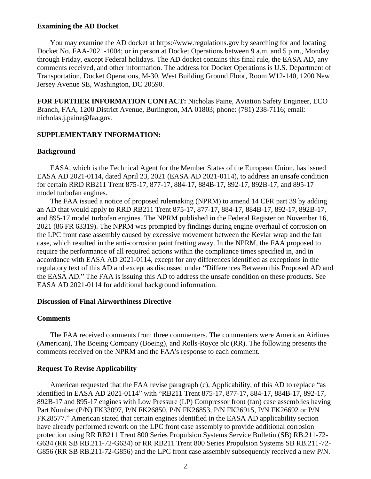#### **Examining the AD Docket**

You may examine the AD docket at https://www.regulations.gov by searching for and locating Docket No. FAA-2021-1004; or in person at Docket Operations between 9 a.m. and 5 p.m., Monday through Friday, except Federal holidays. The AD docket contains this final rule, the EASA AD, any comments received, and other information. The address for Docket Operations is U.S. Department of Transportation, Docket Operations, M-30, West Building Ground Floor, Room W12-140, 1200 New Jersey Avenue SE, Washington, DC 20590.

**FOR FURTHER INFORMATION CONTACT:** Nicholas Paine, Aviation Safety Engineer, ECO Branch, FAA, 1200 District Avenue, Burlington, MA 01803; phone: (781) 238-7116; email: nicholas.j.paine@faa.gov.

#### **SUPPLEMENTARY INFORMATION:**

#### **Background**

EASA, which is the Technical Agent for the Member States of the European Union, has issued EASA AD 2021-0114, dated April 23, 2021 (EASA AD 2021-0114), to address an unsafe condition for certain RRD RB211 Trent 875-17, 877-17, 884-17, 884B-17, 892-17, 892B-17, and 895-17 model turbofan engines.

The FAA issued a notice of proposed rulemaking (NPRM) to amend 14 CFR part 39 by adding an AD that would apply to RRD RB211 Trent 875-17, 877-17, 884-17, 884B-17, 892-17, 892B-17, and 895-17 model turbofan engines. The NPRM published in the Federal Register on November 16, 2021 (86 FR 63319). The NPRM was prompted by findings during engine overhaul of corrosion on the LPC front case assembly caused by excessive movement between the Kevlar wrap and the fan case, which resulted in the anti-corrosion paint fretting away. In the NPRM, the FAA proposed to require the performance of all required actions within the compliance times specified in, and in accordance with EASA AD 2021-0114, except for any differences identified as exceptions in the regulatory text of this AD and except as discussed under "Differences Between this Proposed AD and the EASA AD." The FAA is issuing this AD to address the unsafe condition on these products. See EASA AD 2021-0114 for additional background information.

#### **Discussion of Final Airworthiness Directive**

#### **Comments**

The FAA received comments from three commenters. The commenters were American Airlines (American), The Boeing Company (Boeing), and Rolls-Royce plc (RR). The following presents the comments received on the NPRM and the FAA's response to each comment.

### **Request To Revise Applicability**

American requested that the FAA revise paragraph (c), Applicability, of this AD to replace "as identified in EASA AD 2021-0114" with "RB211 Trent 875-17, 877-17, 884-17, 884B-17, 892-17, 892B-17 and 895-17 engines with Low Pressure (LP) Compressor front (fan) case assemblies having Part Number (P/N) FK33097, P/N FK26850, P/N FK26853, P/N FK26915, P/N FK26692 or P/N FK28577." American stated that certain engines identified in the EASA AD applicability section have already performed rework on the LPC front case assembly to provide additional corrosion protection using RR RB211 Trent 800 Series Propulsion Systems Service Bulletin (SB) RB.211-72- G634 (RR SB RB.211-72-G634) or RR RB211 Trent 800 Series Propulsion Systems SB RB.211-72- G856 (RR SB RB.211-72-G856) and the LPC front case assembly subsequently received a new P/N.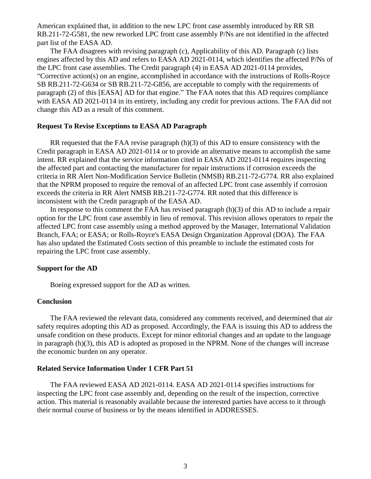American explained that, in addition to the new LPC front case assembly introduced by RR SB RB.211-72-G581, the new reworked LPC front case assembly P/Ns are not identified in the affected part list of the EASA AD.

The FAA disagrees with revising paragraph (c), Applicability of this AD. Paragraph (c) lists engines affected by this AD and refers to EASA AD 2021-0114, which identifies the affected P/Ns of the LPC front case assemblies. The Credit paragraph (4) in EASA AD 2021-0114 provides, "Corrective action(s) on an engine, accomplished in accordance with the instructions of Rolls-Royce SB RB.211-72-G634 or SB RB.211-72-G856, are acceptable to comply with the requirements of paragraph (2) of this [EASA] AD for that engine." The FAA notes that this AD requires compliance with EASA AD 2021-0114 in its entirety, including any credit for previous actions. The FAA did not change this AD as a result of this comment.

### **Request To Revise Exceptions to EASA AD Paragraph**

RR requested that the FAA revise paragraph (h)(3) of this AD to ensure consistency with the Credit paragraph in EASA AD 2021-0114 or to provide an alternative means to accomplish the same intent. RR explained that the service information cited in EASA AD 2021-0114 requires inspecting the affected part and contacting the manufacturer for repair instructions if corrosion exceeds the criteria in RR Alert Non-Modification Service Bulletin (NMSB) RB.211-72-G774. RR also explained that the NPRM proposed to require the removal of an affected LPC front case assembly if corrosion exceeds the criteria in RR Alert NMSB RB.211-72-G774. RR noted that this difference is inconsistent with the Credit paragraph of the EASA AD.

In response to this comment the FAA has revised paragraph (h)(3) of this AD to include a repair option for the LPC front case assembly in lieu of removal. This revision allows operators to repair the affected LPC front case assembly using a method approved by the Manager, International Validation Branch, FAA; or EASA; or Rolls-Royce's EASA Design Organization Approval (DOA). The FAA has also updated the Estimated Costs section of this preamble to include the estimated costs for repairing the LPC front case assembly.

#### **Support for the AD**

Boeing expressed support for the AD as written.

#### **Conclusion**

The FAA reviewed the relevant data, considered any comments received, and determined that air safety requires adopting this AD as proposed. Accordingly, the FAA is issuing this AD to address the unsafe condition on these products. Except for minor editorial changes and an update to the language in paragraph (h)(3), this AD is adopted as proposed in the NPRM. None of the changes will increase the economic burden on any operator.

#### **Related Service Information Under 1 CFR Part 51**

The FAA reviewed EASA AD 2021-0114. EASA AD 2021-0114 specifies instructions for inspecting the LPC front case assembly and, depending on the result of the inspection, corrective action. This material is reasonably available because the interested parties have access to it through their normal course of business or by the means identified in ADDRESSES.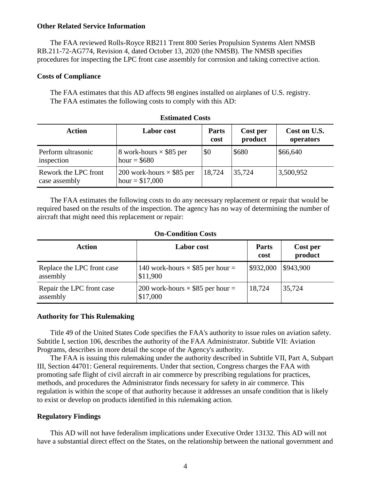### **Other Related Service Information**

The FAA reviewed Rolls-Royce RB211 Trent 800 Series Propulsion Systems Alert NMSB RB.211-72-AG774, Revision 4, dated October 13, 2020 (the NMSB). The NMSB specifies procedures for inspecting the LPC front case assembly for corrosion and taking corrective action.

### **Costs of Compliance**

The FAA estimates that this AD affects 98 engines installed on airplanes of U.S. registry. The FAA estimates the following costs to comply with this AD:

| Action                                | <b>Labor</b> cost                                    | <b>Parts</b><br>cost | Cost per<br>product | Cost on U.S.<br>operators |
|---------------------------------------|------------------------------------------------------|----------------------|---------------------|---------------------------|
| Perform ultrasonic<br>inspection      | 8 work-hours $\times$ \$85 per<br>hour = $$680$      | \$0                  | \$680               | \$66,640                  |
| Rework the LPC front<br>case assembly | 200 work-hours $\times$ \$85 per<br>hour = $$17,000$ | 18,724               | 35,724              | 3,500,952                 |

| <b>Estimated Costs</b> |  |
|------------------------|--|
|------------------------|--|

The FAA estimates the following costs to do any necessary replacement or repair that would be required based on the results of the inspection. The agency has no way of determining the number of aircraft that might need this replacement or repair:

### **On-Condition Costs**

| Action                                 | <b>Labor</b> cost                                   | <b>Parts</b><br>cost | Cost per<br>product |
|----------------------------------------|-----------------------------------------------------|----------------------|---------------------|
| Replace the LPC front case<br>assembly | 140 work-hours $\times$ \$85 per hour =<br>\$11,900 | \$932,000            | \$943,900           |
| Repair the LPC front case<br>assembly  | 200 work-hours $\times$ \$85 per hour =<br>\$17,000 | 18,724               | 35,724              |

### **Authority for This Rulemaking**

Title 49 of the United States Code specifies the FAA's authority to issue rules on aviation safety. Subtitle I, section 106, describes the authority of the FAA Administrator. Subtitle VII: Aviation Programs, describes in more detail the scope of the Agency's authority.

The FAA is issuing this rulemaking under the authority described in Subtitle VII, Part A, Subpart III, Section 44701: General requirements. Under that section, Congress charges the FAA with promoting safe flight of civil aircraft in air commerce by prescribing regulations for practices, methods, and procedures the Administrator finds necessary for safety in air commerce. This regulation is within the scope of that authority because it addresses an unsafe condition that is likely to exist or develop on products identified in this rulemaking action.

### **Regulatory Findings**

This AD will not have federalism implications under Executive Order 13132. This AD will not have a substantial direct effect on the States, on the relationship between the national government and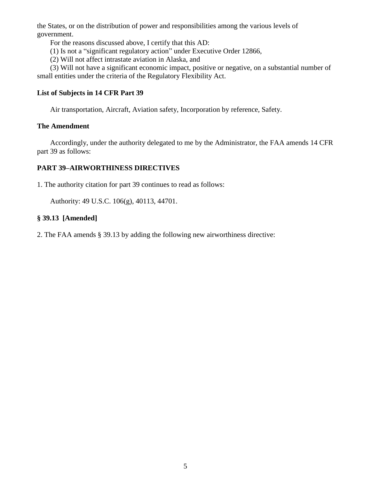the States, or on the distribution of power and responsibilities among the various levels of government.

For the reasons discussed above, I certify that this AD:

- (1) Is not a "significant regulatory action" under Executive Order 12866,
- (2) Will not affect intrastate aviation in Alaska, and

(3) Will not have a significant economic impact, positive or negative, on a substantial number of small entities under the criteria of the Regulatory Flexibility Act.

# **List of Subjects in 14 CFR Part 39**

Air transportation, Aircraft, Aviation safety, Incorporation by reference, Safety.

## **The Amendment**

Accordingly, under the authority delegated to me by the Administrator, the FAA amends 14 CFR part 39 as follows:

# **PART 39–AIRWORTHINESS DIRECTIVES**

1. The authority citation for part 39 continues to read as follows:

Authority: 49 U.S.C. 106(g), 40113, 44701.

# **§ 39.13 [Amended]**

2. The FAA amends § 39.13 by adding the following new airworthiness directive: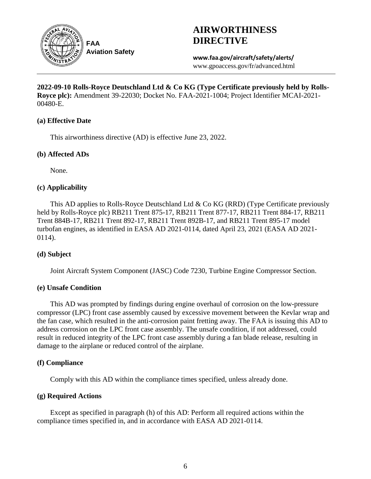

# **AIRWORTHINESS DIRECTIVE**

**www.faa.gov/aircraft/safety/alerts/** www.gpoaccess.gov/fr/advanced.html

**2022-09-10 Rolls-Royce Deutschland Ltd & Co KG (Type Certificate previously held by Rolls-Royce plc):** Amendment 39-22030; Docket No. FAA-2021-1004; Project Identifier MCAI-2021- 00480-E.

### **(a) Effective Date**

This airworthiness directive (AD) is effective June 23, 2022.

## **(b) Affected ADs**

None.

## **(c) Applicability**

This AD applies to Rolls-Royce Deutschland Ltd & Co KG (RRD) (Type Certificate previously held by Rolls-Royce plc) RB211 Trent 875-17, RB211 Trent 877-17, RB211 Trent 884-17, RB211 Trent 884B-17, RB211 Trent 892-17, RB211 Trent 892B-17, and RB211 Trent 895-17 model turbofan engines, as identified in EASA AD 2021-0114, dated April 23, 2021 (EASA AD 2021- 0114).

# **(d) Subject**

Joint Aircraft System Component (JASC) Code 7230, Turbine Engine Compressor Section.

# **(e) Unsafe Condition**

This AD was prompted by findings during engine overhaul of corrosion on the low-pressure compressor (LPC) front case assembly caused by excessive movement between the Kevlar wrap and the fan case, which resulted in the anti-corrosion paint fretting away. The FAA is issuing this AD to address corrosion on the LPC front case assembly. The unsafe condition, if not addressed, could result in reduced integrity of the LPC front case assembly during a fan blade release, resulting in damage to the airplane or reduced control of the airplane.

# **(f) Compliance**

Comply with this AD within the compliance times specified, unless already done.

# **(g) Required Actions**

Except as specified in paragraph (h) of this AD: Perform all required actions within the compliance times specified in, and in accordance with EASA AD 2021-0114.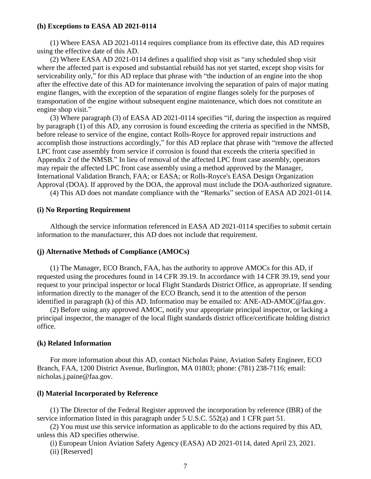#### **(h) Exceptions to EASA AD 2021-0114**

(1) Where EASA AD 2021-0114 requires compliance from its effective date, this AD requires using the effective date of this AD.

(2) Where EASA AD 2021-0114 defines a qualified shop visit as "any scheduled shop visit where the affected part is exposed and substantial rebuild has not yet started, except shop visits for serviceability only," for this AD replace that phrase with "the induction of an engine into the shop after the effective date of this AD for maintenance involving the separation of pairs of major mating engine flanges, with the exception of the separation of engine flanges solely for the purposes of transportation of the engine without subsequent engine maintenance, which does not constitute an engine shop visit."

(3) Where paragraph (3) of EASA AD 2021-0114 specifies "if, during the inspection as required by paragraph (1) of this AD, any corrosion is found exceeding the criteria as specified in the NMSB, before release to service of the engine, contact Rolls-Royce for approved repair instructions and accomplish those instructions accordingly," for this AD replace that phrase with "remove the affected LPC front case assembly from service if corrosion is found that exceeds the criteria specified in Appendix 2 of the NMSB." In lieu of removal of the affected LPC front case assembly, operators may repair the affected LPC front case assembly using a method approved by the Manager, International Validation Branch, FAA; or EASA; or Rolls-Royce's EASA Design Organization Approval (DOA). If approved by the DOA, the approval must include the DOA-authorized signature.

(4) This AD does not mandate compliance with the "Remarks" section of EASA AD 2021-0114.

### **(i) No Reporting Requirement**

Although the service information referenced in EASA AD 2021-0114 specifies to submit certain information to the manufacturer, this AD does not include that requirement.

#### **(j) Alternative Methods of Compliance (AMOCs)**

(1) The Manager, ECO Branch, FAA, has the authority to approve AMOCs for this AD, if requested using the procedures found in 14 CFR 39.19. In accordance with 14 CFR 39.19, send your request to your principal inspector or local Flight Standards District Office, as appropriate. If sending information directly to the manager of the ECO Branch, send it to the attention of the person identified in paragraph (k) of this AD. Information may be emailed to: ANE-AD-AMOC@faa.gov.

(2) Before using any approved AMOC, notify your appropriate principal inspector, or lacking a principal inspector, the manager of the local flight standards district office/certificate holding district office.

#### **(k) Related Information**

For more information about this AD, contact Nicholas Paine, Aviation Safety Engineer, ECO Branch, FAA, 1200 District Avenue, Burlington, MA 01803; phone: (781) 238-7116; email: nicholas.j.paine@faa.gov.

#### **(l) Material Incorporated by Reference**

(1) The Director of the Federal Register approved the incorporation by reference (IBR) of the service information listed in this paragraph under 5 U.S.C. 552(a) and 1 CFR part 51.

(2) You must use this service information as applicable to do the actions required by this AD, unless this AD specifies otherwise.

(i) European Union Aviation Safety Agency (EASA) AD 2021-0114, dated April 23, 2021. (ii) [Reserved]